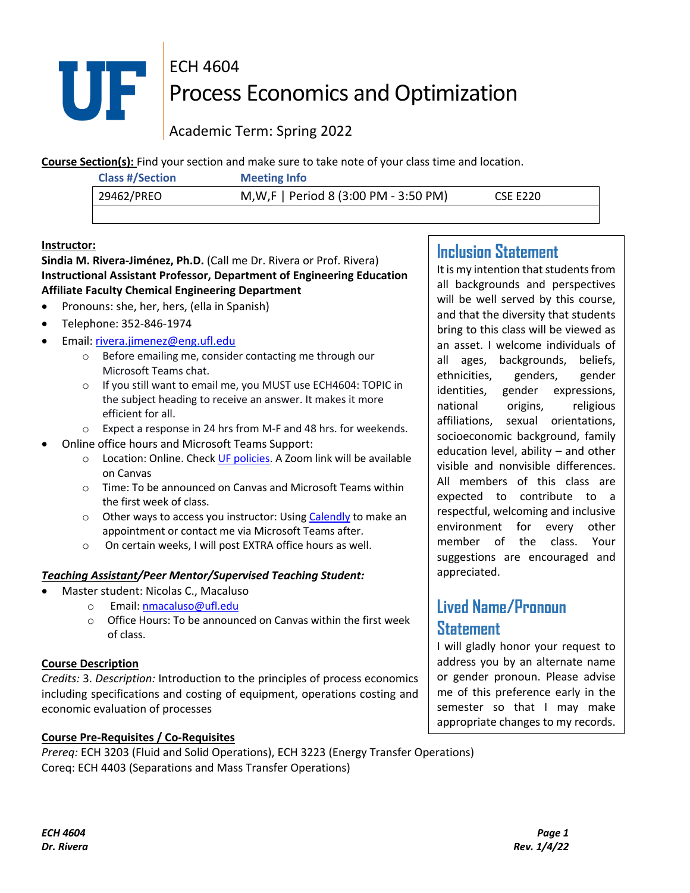

# ECH 4604 **THE PROCESS ECONOMICS AND OPENIZATION**

Academic Term: Spring 2022

**Course Section(s):** Find your section and make sure to take note of your class time and location.

| <b>Class #/Section</b> | <b>Meeting Info</b>                    |                 |
|------------------------|----------------------------------------|-----------------|
| 29462/PREO             | M, W, F   Period 8 (3:00 PM - 3:50 PM) | <b>CSE E220</b> |
|                        |                                        |                 |

# **Instructor:**

# **Sindia M. Rivera-Jiménez, Ph.D.** (Call me Dr. Rivera or Prof. Rivera) **Instructional Assistant Professor, Department of Engineering Education Affiliate Faculty Chemical Engineering Department**

- Pronouns: she, her, hers, (ella in Spanish)
- Telephone: 352-846-1974
- Email: rivera.jimenez@eng.ufl.edu
	- o Before emailing me, consider contacting me through our Microsoft Teams chat.
	- o If you still want to email me, you MUST use ECH4604: TOPIC in the subject heading to receive an answer. It makes it more efficient for all.
	- o Expect a response in 24 hrs from M-F and 48 hrs. for weekends.
- Online office hours and Microsoft Teams Support:
	- o Location: Online. Check UF policies. A Zoom link will be available on Canvas
	- o Time: To be announced on Canvas and Microsoft Teams within the first week of class.
	- o Other ways to access you instructor: Using Calendly to make an appointment or contact me via Microsoft Teams after.
	- o On certain weeks, I will post EXTRA office hours as well.

# *Teaching Assistant/Peer Mentor/Supervised Teaching Student:*

- Master student: Nicolas C., Macaluso
	- o Email: nmacaluso@ufl.edu
	- o Office Hours: To be announced on Canvas within the first week of class.

# **Course Description**

*Credits:* 3. *Description:* Introduction to the principles of process economics including specifications and costing of equipment, operations costing and economic evaluation of processes

# **Course Pre-Requisites / Co-Requisites**

*Prereq:* ECH 3203 (Fluid and Solid Operations), ECH 3223 (Energy Transfer Operations) Coreq: ECH 4403 (Separations and Mass Transfer Operations)

# **Inclusion Statement**

It is my intention that students from all backgrounds and perspectives will be well served by this course, and that the diversity that students bring to this class will be viewed as an asset. I welcome individuals of all ages, backgrounds, beliefs, ethnicities, genders, gender identities, gender expressions, national origins, religious affiliations, sexual orientations, socioeconomic background, family education level, ability – and other visible and nonvisible differences. All members of this class are expected to contribute to a respectful, welcoming and inclusive environment for every other member of the class. Your suggestions are encouraged and appreciated.

# **Lived Name/Pronoun Statement**

I will gladly honor your request to address you by an alternate name or gender pronoun. Please advise me of this preference early in the semester so that I may make appropriate changes to my records.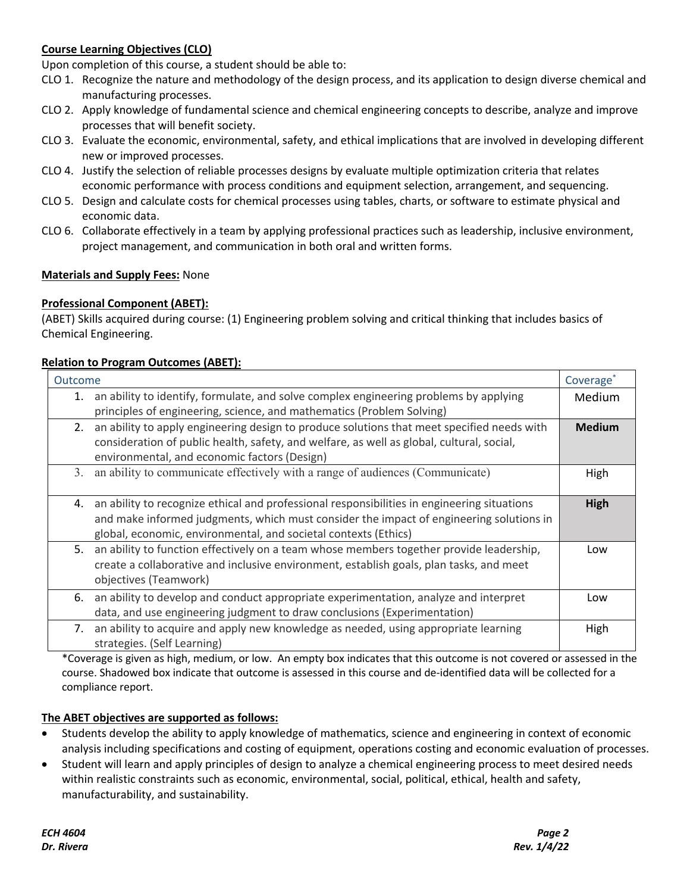# **Course Learning Objectives (CLO)**

Upon completion of this course, a student should be able to:

- CLO 1. Recognize the nature and methodology of the design process, and its application to design diverse chemical and manufacturing processes.
- CLO 2. Apply knowledge of fundamental science and chemical engineering concepts to describe, analyze and improve processes that will benefit society.
- CLO 3. Evaluate the economic, environmental, safety, and ethical implications that are involved in developing different new or improved processes.
- CLO 4. Justify the selection of reliable processes designs by evaluate multiple optimization criteria that relates economic performance with process conditions and equipment selection, arrangement, and sequencing.
- CLO 5. Design and calculate costs for chemical processes using tables, charts, or software to estimate physical and economic data.
- CLO 6. Collaborate effectively in a team by applying professional practices such as leadership, inclusive environment, project management, and communication in both oral and written forms.

# **Materials and Supply Fees:** None

# **Professional Component (ABET):**

(ABET) Skills acquired during course: (1) Engineering problem solving and critical thinking that includes basics of Chemical Engineering.

#### **Relation to Program Outcomes (ABET):**

| Outcome                                                                                                                                                                                                                                                         | Coverage <sup>*</sup> |
|-----------------------------------------------------------------------------------------------------------------------------------------------------------------------------------------------------------------------------------------------------------------|-----------------------|
| an ability to identify, formulate, and solve complex engineering problems by applying<br>1.<br>principles of engineering, science, and mathematics (Problem Solving)                                                                                            | Medium                |
| 2. an ability to apply engineering design to produce solutions that meet specified needs with<br>consideration of public health, safety, and welfare, as well as global, cultural, social,<br>environmental, and economic factors (Design)                      | <b>Medium</b>         |
| an ability to communicate effectively with a range of audiences (Communicate)<br>3.                                                                                                                                                                             | High                  |
| an ability to recognize ethical and professional responsibilities in engineering situations<br>4.<br>and make informed judgments, which must consider the impact of engineering solutions in<br>global, economic, environmental, and societal contexts (Ethics) | High                  |
| an ability to function effectively on a team whose members together provide leadership,<br>5.<br>create a collaborative and inclusive environment, establish goals, plan tasks, and meet<br>objectives (Teamwork)                                               | Low                   |
| an ability to develop and conduct appropriate experimentation, analyze and interpret<br>6.<br>data, and use engineering judgment to draw conclusions (Experimentation)                                                                                          | Low                   |
| an ability to acquire and apply new knowledge as needed, using appropriate learning<br>7.<br>strategies. (Self Learning)                                                                                                                                        | High                  |

\*Coverage is given as high, medium, or low. An empty box indicates that this outcome is not covered or assessed in the course. Shadowed box indicate that outcome is assessed in this course and de-identified data will be collected for a compliance report.

#### **The ABET objectives are supported as follows:**

- Students develop the ability to apply knowledge of mathematics, science and engineering in context of economic analysis including specifications and costing of equipment, operations costing and economic evaluation of processes.
- Student will learn and apply principles of design to analyze a chemical engineering process to meet desired needs within realistic constraints such as economic, environmental, social, political, ethical, health and safety, manufacturability, and sustainability.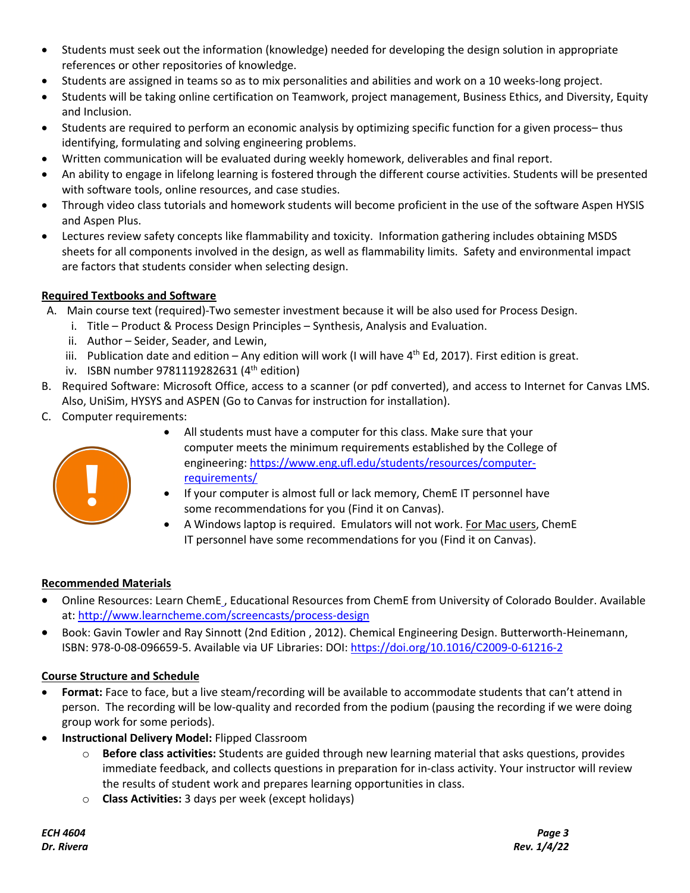- Students must seek out the information (knowledge) needed for developing the design solution in appropriate references or other repositories of knowledge.
- Students are assigned in teams so as to mix personalities and abilities and work on a 10 weeks-long project.
- Students will be taking online certification on Teamwork, project management, Business Ethics, and Diversity, Equity and Inclusion.
- Students are required to perform an economic analysis by optimizing specific function for a given process– thus identifying, formulating and solving engineering problems.
- Written communication will be evaluated during weekly homework, deliverables and final report.
- An ability to engage in lifelong learning is fostered through the different course activities. Students will be presented with software tools, online resources, and case studies.
- Through video class tutorials and homework students will become proficient in the use of the software Aspen HYSIS and Aspen Plus.
- Lectures review safety concepts like flammability and toxicity. Information gathering includes obtaining MSDS sheets for all components involved in the design, as well as flammability limits. Safety and environmental impact are factors that students consider when selecting design.

# **Required Textbooks and Software**

- A. Main course text (required)-Two semester investment because it will be also used for Process Design.
	- i. Title Product & Process Design Principles Synthesis, Analysis and Evaluation.
	- ii. Author Seider, Seader, and Lewin,
	- iii. Publication date and edition Any edition will work (I will have  $4^{th}$  Ed, 2017). First edition is great.
	- iv. ISBN number 9781119282631  $(4<sup>th</sup>$  edition)
- B. Required Software: Microsoft Office, access to a scanner (or pdf converted), and access to Internet for Canvas LMS. Also, UniSim, HYSYS and ASPEN (Go to Canvas for instruction for installation).
- C. Computer requirements:



- All students must have a computer for this class. Make sure that your computer meets the minimum requirements established by the College of engineering: https://www.eng.ufl.edu/students/resources/computerrequirements/
- If your computer is almost full or lack memory, ChemE IT personnel have some recommendations for you (Find it on Canvas).
- A Windows laptop is required. Emulators will not work. For Mac users, ChemE IT personnel have some recommendations for you (Find it on Canvas).

# **Recommended Materials**

- Online Resources: Learn ChemE , Educational Resources from ChemE from University of Colorado Boulder. Available at: http://www.learncheme.com/screencasts/process-design
- Book: Gavin Towler and Ray Sinnott (2nd Edition , 2012). Chemical Engineering Design. Butterworth-Heinemann, ISBN: 978-0-08-096659-5. Available via UF Libraries: DOI: https://doi.org/10.1016/C2009-0-61216-2

# **Course Structure and Schedule**

- **Format:** Face to face, but a live steam/recording will be available to accommodate students that can't attend in person. The recording will be low-quality and recorded from the podium (pausing the recording if we were doing group work for some periods).
- **Instructional Delivery Model:** Flipped Classroom
	- o **Before class activities:** Students are guided through new learning material that asks questions, provides immediate feedback, and collects questions in preparation for in-class activity. Your instructor will review the results of student work and prepares learning opportunities in class.
	- o **Class Activities:** 3 days per week (except holidays)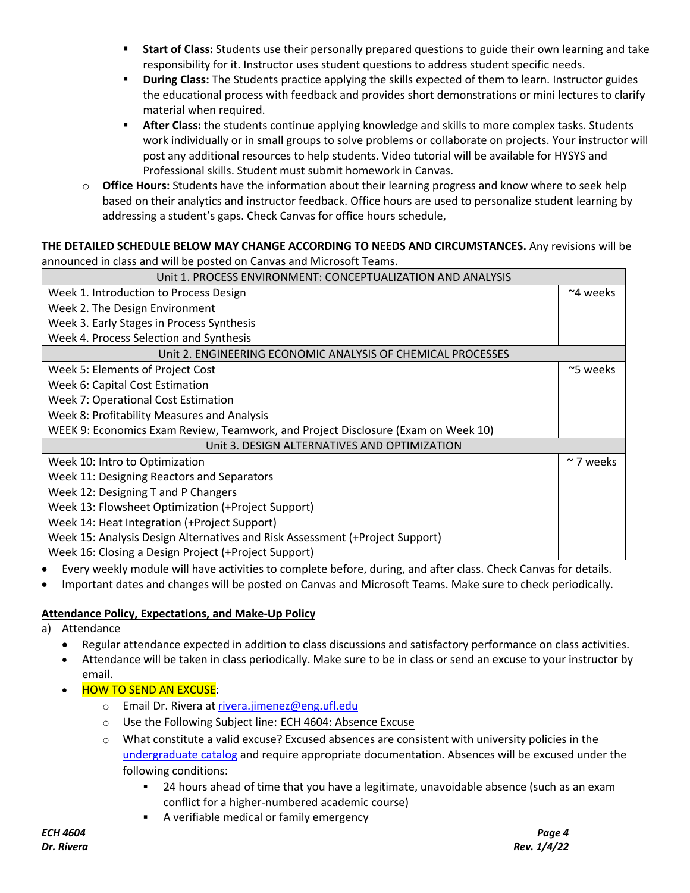- **Start of Class:** Students use their personally prepared questions to guide their own learning and take responsibility for it. Instructor uses student questions to address student specific needs.
- § **During Class:** The Students practice applying the skills expected of them to learn. Instructor guides the educational process with feedback and provides short demonstrations or mini lectures to clarify material when required.
- **After Class:** the students continue applying knowledge and skills to more complex tasks. Students work individually or in small groups to solve problems or collaborate on projects. Your instructor will post any additional resources to help students. Video tutorial will be available for HYSYS and Professional skills. Student must submit homework in Canvas.
- o **Office Hours:** Students have the information about their learning progress and know where to seek help based on their analytics and instructor feedback. Office hours are used to personalize student learning by addressing a student's gaps. Check Canvas for office hours schedule,

# **THE DETAILED SCHEDULE BELOW MAY CHANGE ACCORDING TO NEEDS AND CIRCUMSTANCES.** Any revisions will be announced in class and will be posted on Canvas and Microsoft Teams.

| Unit 1. PROCESS ENVIRONMENT: CONCEPTUALIZATION AND ANALYSIS                       |                   |
|-----------------------------------------------------------------------------------|-------------------|
| Week 1. Introduction to Process Design                                            | $~\sim$ 4 weeks   |
| Week 2. The Design Environment                                                    |                   |
| Week 3. Early Stages in Process Synthesis                                         |                   |
| Week 4. Process Selection and Synthesis                                           |                   |
| Unit 2. ENGINEERING ECONOMIC ANALYSIS OF CHEMICAL PROCESSES                       |                   |
| Week 5: Elements of Project Cost                                                  | $\approx$ 5 weeks |
| Week 6: Capital Cost Estimation                                                   |                   |
| Week 7: Operational Cost Estimation                                               |                   |
| Week 8: Profitability Measures and Analysis                                       |                   |
| WEEK 9: Economics Exam Review, Teamwork, and Project Disclosure (Exam on Week 10) |                   |
| Unit 3. DESIGN ALTERNATIVES AND OPTIMIZATION                                      |                   |
| Week 10: Intro to Optimization                                                    | $\sim$ 7 weeks    |
| Week 11: Designing Reactors and Separators                                        |                   |
| Week 12: Designing T and P Changers                                               |                   |
| Week 13: Flowsheet Optimization (+Project Support)                                |                   |
| Week 14: Heat Integration (+Project Support)                                      |                   |
| Week 15: Analysis Design Alternatives and Risk Assessment (+Project Support)      |                   |
| Week 16: Closing a Design Project (+Project Support)                              |                   |

- Every weekly module will have activities to complete before, during, and after class. Check Canvas for details.
- Important dates and changes will be posted on Canvas and Microsoft Teams. Make sure to check periodically.

# **Attendance Policy, Expectations, and Make-Up Policy**

- a) Attendance
	- Regular attendance expected in addition to class discussions and satisfactory performance on class activities.
	- Attendance will be taken in class periodically. Make sure to be in class or send an excuse to your instructor by email.
	- **HOW TO SEND AN EXCUSE:** 
		- o Email Dr. Rivera at rivera.jimenez@eng.ufl.edu
		- o Use the Following Subject line: ECH 4604: Absence Excuse
		- $\circ$  What constitute a valid excuse? Excused absences are consistent with university policies in the undergraduate catalog and require appropriate documentation. Absences will be excused under the following conditions:
			- § 24 hours ahead of time that you have a legitimate, unavoidable absence (such as an exam conflict for a higher-numbered academic course)
			- **EXED A verifiable medical or family emergency**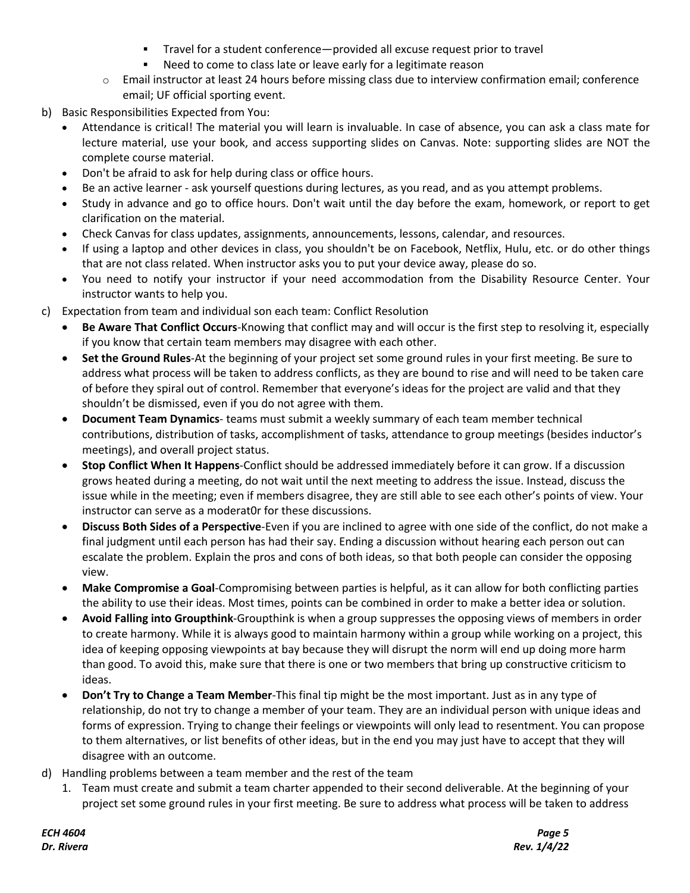- § Travel for a student conference—provided all excuse request prior to travel
- Need to come to class late or leave early for a legitimate reason
- o Email instructor at least 24 hours before missing class due to interview confirmation email; conference email; UF official sporting event.
- b) Basic Responsibilities Expected from You:
	- Attendance is critical! The material you will learn is invaluable. In case of absence, you can ask a class mate for lecture material, use your book, and access supporting slides on Canvas. Note: supporting slides are NOT the complete course material.
	- Don't be afraid to ask for help during class or office hours.
	- Be an active learner ask yourself questions during lectures, as you read, and as you attempt problems.
	- Study in advance and go to office hours. Don't wait until the day before the exam, homework, or report to get clarification on the material.
	- Check Canvas for class updates, assignments, announcements, lessons, calendar, and resources.
	- If using a laptop and other devices in class, you shouldn't be on Facebook, Netflix, Hulu, etc. or do other things that are not class related. When instructor asks you to put your device away, please do so.
	- You need to notify your instructor if your need accommodation from the Disability Resource Center. Your instructor wants to help you.
- c) Expectation from team and individual son each team: Conflict Resolution
	- **Be Aware That Conflict Occurs**-Knowing that conflict may and will occur is the first step to resolving it, especially if you know that certain team members may disagree with each other.
	- **Set the Ground Rules**-At the beginning of your project set some ground rules in your first meeting. Be sure to address what process will be taken to address conflicts, as they are bound to rise and will need to be taken care of before they spiral out of control. Remember that everyone's ideas for the project are valid and that they shouldn't be dismissed, even if you do not agree with them.
	- **Document Team Dynamics** teams must submit a weekly summary of each team member technical contributions, distribution of tasks, accomplishment of tasks, attendance to group meetings (besides inductor's meetings), and overall project status.
	- **Stop Conflict When It Happens**-Conflict should be addressed immediately before it can grow. If a discussion grows heated during a meeting, do not wait until the next meeting to address the issue. Instead, discuss the issue while in the meeting; even if members disagree, they are still able to see each other's points of view. Your instructor can serve as a moderat0r for these discussions.
	- **Discuss Both Sides of a Perspective**-Even if you are inclined to agree with one side of the conflict, do not make a final judgment until each person has had their say. Ending a discussion without hearing each person out can escalate the problem. Explain the pros and cons of both ideas, so that both people can consider the opposing view.
	- **Make Compromise a Goal**-Compromising between parties is helpful, as it can allow for both conflicting parties the ability to use their ideas. Most times, points can be combined in order to make a better idea or solution.
	- **Avoid Falling into Groupthink**-Groupthink is when a group suppresses the opposing views of members in order to create harmony. While it is always good to maintain harmony within a group while working on a project, this idea of keeping opposing viewpoints at bay because they will disrupt the norm will end up doing more harm than good. To avoid this, make sure that there is one or two members that bring up constructive criticism to ideas.
	- **Don't Try to Change a Team Member**-This final tip might be the most important. Just as in any type of relationship, do not try to change a member of your team. They are an individual person with unique ideas and forms of expression. Trying to change their feelings or viewpoints will only lead to resentment. You can propose to them alternatives, or list benefits of other ideas, but in the end you may just have to accept that they will disagree with an outcome.
- d) Handling problems between a team member and the rest of the team
	- 1. Team must create and submit a team charter appended to their second deliverable. At the beginning of your project set some ground rules in your first meeting. Be sure to address what process will be taken to address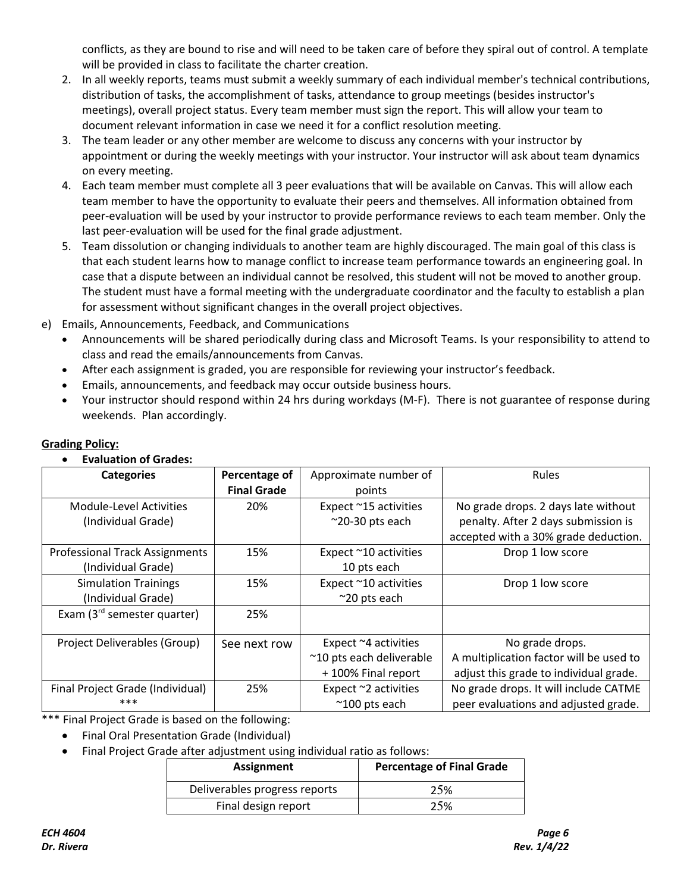conflicts, as they are bound to rise and will need to be taken care of before they spiral out of control. A template will be provided in class to facilitate the charter creation.

- 2. In all weekly reports, teams must submit a weekly summary of each individual member's technical contributions, distribution of tasks, the accomplishment of tasks, attendance to group meetings (besides instructor's meetings), overall project status. Every team member must sign the report. This will allow your team to document relevant information in case we need it for a conflict resolution meeting.
- 3. The team leader or any other member are welcome to discuss any concerns with your instructor by appointment or during the weekly meetings with your instructor. Your instructor will ask about team dynamics on every meeting.
- 4. Each team member must complete all 3 peer evaluations that will be available on Canvas. This will allow each team member to have the opportunity to evaluate their peers and themselves. All information obtained from peer-evaluation will be used by your instructor to provide performance reviews to each team member. Only the last peer-evaluation will be used for the final grade adjustment.
- 5. Team dissolution or changing individuals to another team are highly discouraged. The main goal of this class is that each student learns how to manage conflict to increase team performance towards an engineering goal. In case that a dispute between an individual cannot be resolved, this student will not be moved to another group. The student must have a formal meeting with the undergraduate coordinator and the faculty to establish a plan for assessment without significant changes in the overall project objectives.
- e) Emails, Announcements, Feedback, and Communications
	- Announcements will be shared periodically during class and Microsoft Teams. Is your responsibility to attend to class and read the emails/announcements from Canvas.
	- After each assignment is graded, you are responsible for reviewing your instructor's feedback.
	- Emails, announcements, and feedback may occur outside business hours.
	- Your instructor should respond within 24 hrs during workdays (M-F). There is not guarantee of response during weekends. Plan accordingly.

| Evaluation of Grades:                 |                    |                          |                                         |
|---------------------------------------|--------------------|--------------------------|-----------------------------------------|
| <b>Categories</b>                     | Percentage of      | Approximate number of    | <b>Rules</b>                            |
|                                       | <b>Final Grade</b> | points                   |                                         |
| Module-Level Activities               | 20%                | Expect ~15 activities    | No grade drops. 2 days late without     |
| (Individual Grade)                    |                    | $^{\sim}$ 20-30 pts each | penalty. After 2 days submission is     |
|                                       |                    |                          | accepted with a 30% grade deduction.    |
| <b>Professional Track Assignments</b> | 15%                | Expect ~10 activities    | Drop 1 low score                        |
| (Individual Grade)                    |                    | 10 pts each              |                                         |
| <b>Simulation Trainings</b>           | 15%                | Expect ~10 activities    | Drop 1 low score                        |
| (Individual Grade)                    |                    | $~20$ pts each           |                                         |
| Exam $(3rd$ semester quarter)         | 25%                |                          |                                         |
|                                       |                    |                          |                                         |
| Project Deliverables (Group)          | See next row       | Expect ~4 activities     | No grade drops.                         |
|                                       |                    | ~10 pts each deliverable | A multiplication factor will be used to |
|                                       |                    | +100% Final report       | adjust this grade to individual grade.  |
| Final Project Grade (Individual)      | 25%                | Expect ~2 activities     | No grade drops. It will include CATME   |
| ***                                   |                    | $^{\sim}$ 100 pts each   | peer evaluations and adjusted grade.    |

# **Grading Policy:**

 $\mathbf{E}$ 

\*\*\* Final Project Grade is based on the following:

- Final Oral Presentation Grade (Individual)
- Final Project Grade after adjustment using individual ratio as follows:

| Assignment                    | <b>Percentage of Final Grade</b> |
|-------------------------------|----------------------------------|
| Deliverables progress reports | 25%                              |
| Final design report           | 25%                              |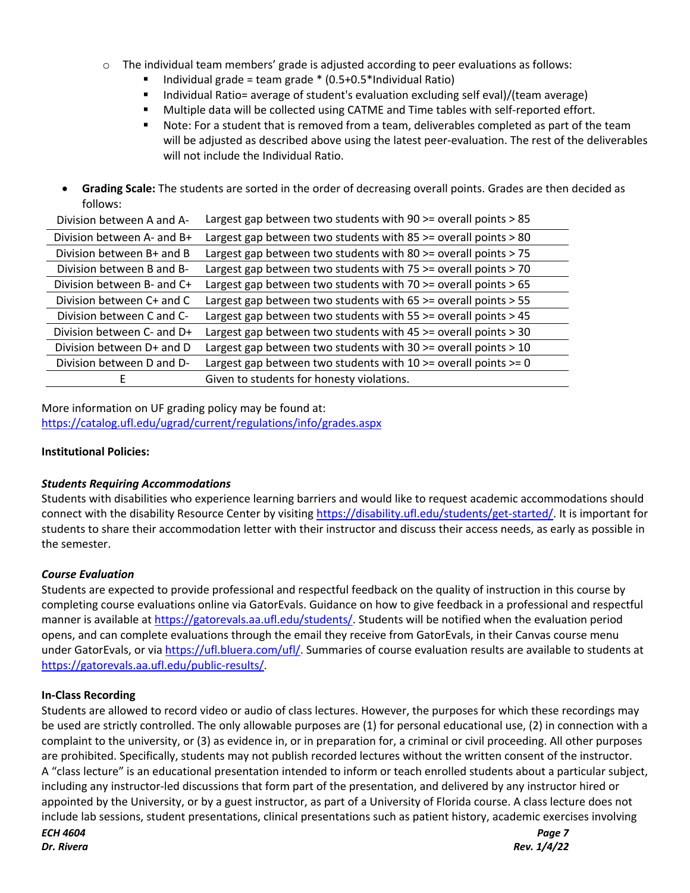- $\circ$  The individual team members' grade is adjusted according to peer evaluations as follows:
	- § Individual grade = team grade \* (0.5+0.5\*Individual Ratio)
	- Individual Ratio= average of student's evaluation excluding self eval)/(team average)
	- § Multiple data will be collected using CATME and Time tables with self-reported effort.
	- Note: For a student that is removed from a team, deliverables completed as part of the team will be adjusted as described above using the latest peer-evaluation. The rest of the deliverables will not include the Individual Ratio.
- **Grading Scale:** The students are sorted in the order of decreasing overall points. Grades are then decided as follows:

| Division between A and A-  | Largest gap between two students with 90 >= overall points > 85         |
|----------------------------|-------------------------------------------------------------------------|
| Division between A- and B+ | Largest gap between two students with 85 $>$ = overall points $>$ 80    |
| Division between B+ and B  | Largest gap between two students with 80 $>$ = overall points $>$ 75    |
| Division between B and B-  | Largest gap between two students with 75 >= overall points > 70         |
| Division between B- and C+ | Largest gap between two students with 70 $>$ = overall points $>$ 65    |
| Division between C+ and C  | Largest gap between two students with 65 >= overall points > 55         |
| Division between C and C-  | Largest gap between two students with $55 \ge$ overall points $> 45$    |
| Division between C- and D+ | Largest gap between two students with $45 \ge$ overall points $> 30$    |
| Division between D+ and D  | Largest gap between two students with $30 \ge$ overall points $> 10$    |
| Division between D and D-  | Largest gap between two students with $10 \ge$ overall points $\ge$ = 0 |
|                            | Given to students for honesty violations.                               |

More information on UF grading policy may be found at: https://catalog.ufl.edu/ugrad/current/regulations/info/grades.aspx

#### **Institutional Policies:**

#### *Students Requiring Accommodations*

Students with disabilities who experience learning barriers and would like to request academic accommodations should connect with the disability Resource Center by visiting https://disability.ufl.edu/students/get-started/. It is important for students to share their accommodation letter with their instructor and discuss their access needs, as early as possible in the semester.

#### *Course Evaluation*

Students are expected to provide professional and respectful feedback on the quality of instruction in this course by completing course evaluations online via GatorEvals. Guidance on how to give feedback in a professional and respectful manner is available at https://gatorevals.aa.ufl.edu/students/. Students will be notified when the evaluation period opens, and can complete evaluations through the email they receive from GatorEvals, in their Canvas course menu under GatorEvals, or via https://ufl.bluera.com/ufl/. Summaries of course evaluation results are available to students at https://gatorevals.aa.ufl.edu/public-results/.

#### **In-Class Recording**

*ECH 4604 Page 7 Dr. Rivera Rev. 1/4/22* Students are allowed to record video or audio of class lectures. However, the purposes for which these recordings may be used are strictly controlled. The only allowable purposes are (1) for personal educational use, (2) in connection with a complaint to the university, or (3) as evidence in, or in preparation for, a criminal or civil proceeding. All other purposes are prohibited. Specifically, students may not publish recorded lectures without the written consent of the instructor. A "class lecture" is an educational presentation intended to inform or teach enrolled students about a particular subject, including any instructor-led discussions that form part of the presentation, and delivered by any instructor hired or appointed by the University, or by a guest instructor, as part of a University of Florida course. A class lecture does not include lab sessions, student presentations, clinical presentations such as patient history, academic exercises involving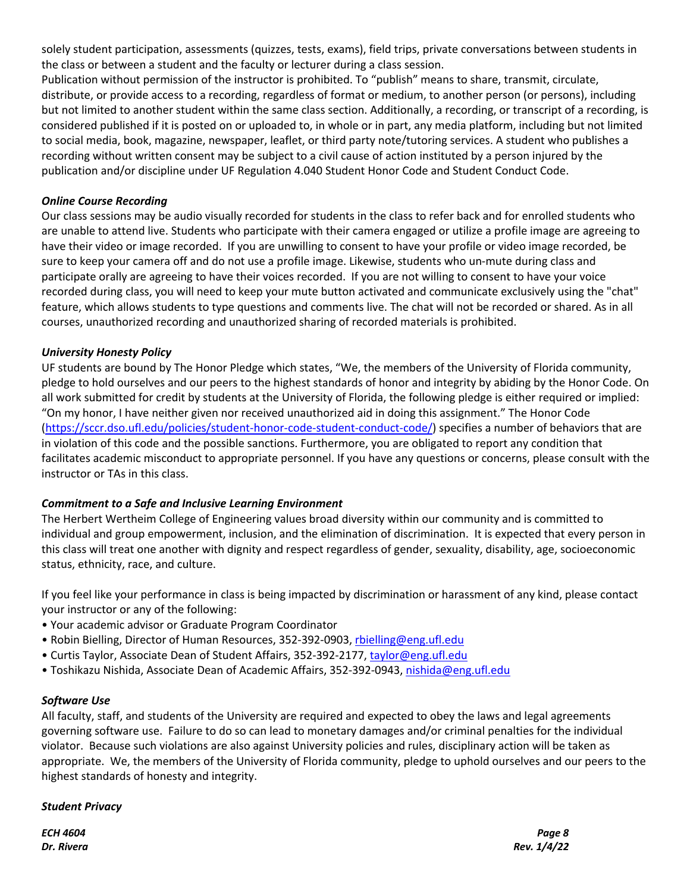solely student participation, assessments (quizzes, tests, exams), field trips, private conversations between students in the class or between a student and the faculty or lecturer during a class session.

Publication without permission of the instructor is prohibited. To "publish" means to share, transmit, circulate, distribute, or provide access to a recording, regardless of format or medium, to another person (or persons), including but not limited to another student within the same class section. Additionally, a recording, or transcript of a recording, is considered published if it is posted on or uploaded to, in whole or in part, any media platform, including but not limited to social media, book, magazine, newspaper, leaflet, or third party note/tutoring services. A student who publishes a recording without written consent may be subject to a civil cause of action instituted by a person injured by the publication and/or discipline under UF Regulation 4.040 Student Honor Code and Student Conduct Code.

# *Online Course Recording*

Our class sessions may be audio visually recorded for students in the class to refer back and for enrolled students who are unable to attend live. Students who participate with their camera engaged or utilize a profile image are agreeing to have their video or image recorded. If you are unwilling to consent to have your profile or video image recorded, be sure to keep your camera off and do not use a profile image. Likewise, students who un-mute during class and participate orally are agreeing to have their voices recorded. If you are not willing to consent to have your voice recorded during class, you will need to keep your mute button activated and communicate exclusively using the "chat" feature, which allows students to type questions and comments live. The chat will not be recorded or shared. As in all courses, unauthorized recording and unauthorized sharing of recorded materials is prohibited.

# *University Honesty Policy*

UF students are bound by The Honor Pledge which states, "We, the members of the University of Florida community, pledge to hold ourselves and our peers to the highest standards of honor and integrity by abiding by the Honor Code. On all work submitted for credit by students at the University of Florida, the following pledge is either required or implied: "On my honor, I have neither given nor received unauthorized aid in doing this assignment." The Honor Code (https://sccr.dso.ufl.edu/policies/student-honor-code-student-conduct-code/) specifies a number of behaviors that are in violation of this code and the possible sanctions. Furthermore, you are obligated to report any condition that facilitates academic misconduct to appropriate personnel. If you have any questions or concerns, please consult with the instructor or TAs in this class.

# *Commitment to a Safe and Inclusive Learning Environment*

The Herbert Wertheim College of Engineering values broad diversity within our community and is committed to individual and group empowerment, inclusion, and the elimination of discrimination. It is expected that every person in this class will treat one another with dignity and respect regardless of gender, sexuality, disability, age, socioeconomic status, ethnicity, race, and culture.

If you feel like your performance in class is being impacted by discrimination or harassment of any kind, please contact your instructor or any of the following:

- Your academic advisor or Graduate Program Coordinator
- Robin Bielling, Director of Human Resources, 352-392-0903, rbielling@eng.ufl.edu
- Curtis Taylor, Associate Dean of Student Affairs, 352-392-2177, taylor@eng.ufl.edu
- Toshikazu Nishida, Associate Dean of Academic Affairs, 352-392-0943, nishida@eng.ufl.edu

#### *Software Use*

All faculty, staff, and students of the University are required and expected to obey the laws and legal agreements governing software use. Failure to do so can lead to monetary damages and/or criminal penalties for the individual violator. Because such violations are also against University policies and rules, disciplinary action will be taken as appropriate. We, the members of the University of Florida community, pledge to uphold ourselves and our peers to the highest standards of honesty and integrity.

#### *Student Privacy*